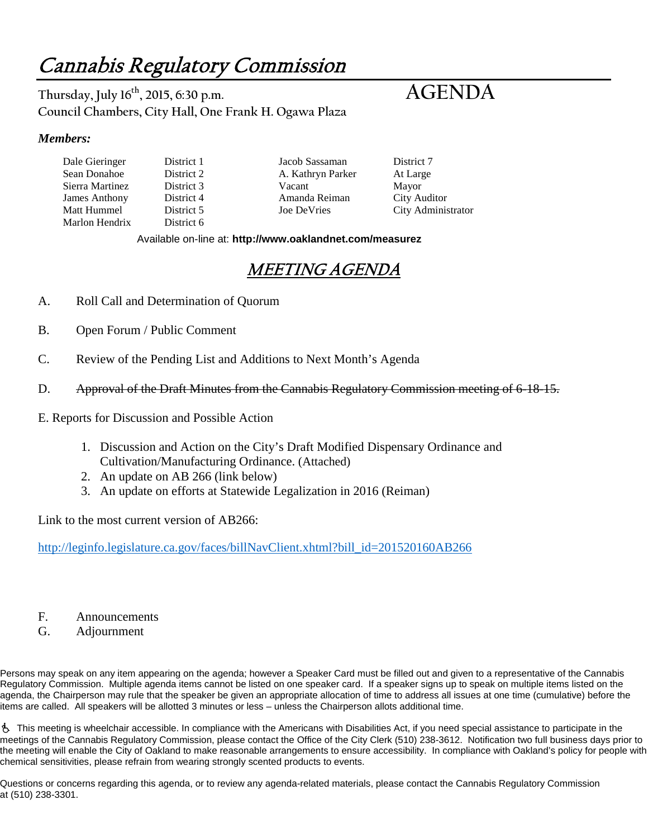# Cannabis Regulatory Commission

**Thursday, July 16th, 2015, 6:30 p.m. AGENDA Council Chambers, City Hall, One Frank H. Ogawa Plaza**

#### *Members:*

Dale Gieringer District 1 Jacob Sassaman District 7 Sierra Martinez District 3 Vacant Mayor James Anthony District 4 Amanda Reiman City Auditor Marlon Hendrix District 6

A. Kathryn Parker At Large

City Administrator

Available on-line at: **http://www.oaklandnet.com/measurez**

## MEETING AGENDA

- A. Roll Call and Determination of Quorum
- B. Open Forum / Public Comment
- C. Review of the Pending List and Additions to Next Month's Agenda
- D. Approval of the Draft Minutes from the Cannabis Regulatory Commission meeting of 6-18-15.
- E. Reports for Discussion and Possible Action
	- 1. Discussion and Action on the City's Draft Modified Dispensary Ordinance and Cultivation/Manufacturing Ordinance. (Attached)
	- 2. An update on AB 266 (link below)
	- 3. An update on efforts at Statewide Legalization in 2016 (Reiman)

Link to the most current version of AB266:

[http://leginfo.legislature.ca.gov/faces/billNavClient.xhtml?bill\\_id=201520160AB266](http://leginfo.legislature.ca.gov/faces/billNavClient.xhtml?bill_id=201520160AB266)

- F. Announcements
- G. Adjournment

Persons may speak on any item appearing on the agenda; however a Speaker Card must be filled out and given to a representative of the Cannabis Regulatory Commission. Multiple agenda items cannot be listed on one speaker card. If a speaker signs up to speak on multiple items listed on the agenda, the Chairperson may rule that the speaker be given an appropriate allocation of time to address all issues at one time (cumulative) before the items are called. All speakers will be allotted 3 minutes or less – unless the Chairperson allots additional time.

 This meeting is wheelchair accessible. In compliance with the Americans with Disabilities Act, if you need special assistance to participate in the meetings of the Cannabis Regulatory Commission, please contact the Office of the City Clerk (510) 238-3612. Notification two full business days prior to the meeting will enable the City of Oakland to make reasonable arrangements to ensure accessibility. In compliance with Oakland's policy for people with chemical sensitivities, please refrain from wearing strongly scented products to events.

Questions or concerns regarding this agenda, or to review any agenda-related materials, please contact the Cannabis Regulatory Commission at (510) 238-3301.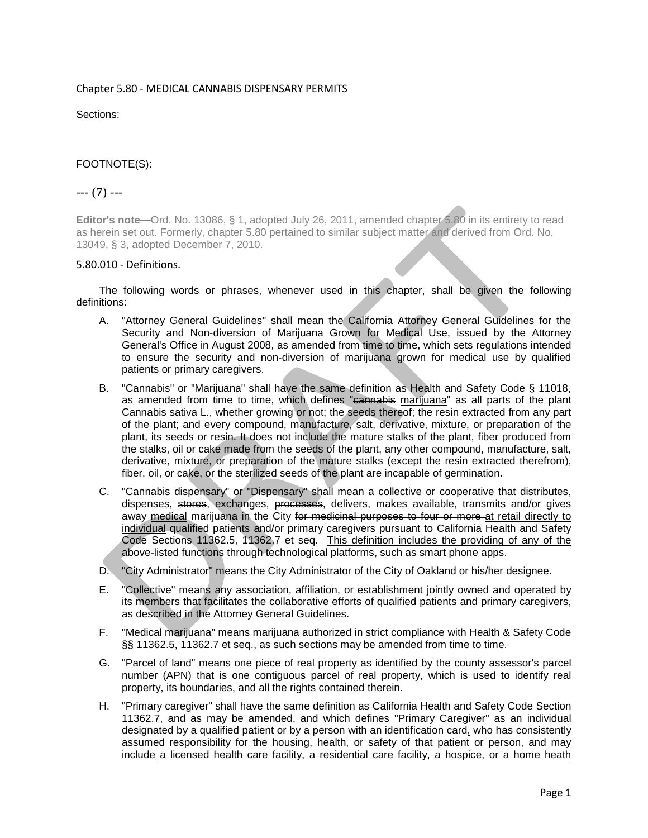#### Chapter 5.80 - MEDICAL CANNABIS DISPENSARY PERMITS

Sections:

#### FOOTNOTE(S):

#### --- (**7**) ---

**Editor's note—**Ord. No. 13086, § 1, adopted July 26, 2011, amended chapter 5.80 in its entirety to read as herein set out. Formerly, chapter 5.80 pertained to similar subject matter and derived from Ord. No. 13049, § 3, adopted December 7, 2010.

#### 5.80.010 - Definitions.

The following words or phrases, whenever used in this chapter, shall be given the following definitions:

- A. "Attorney General Guidelines" shall mean the California Attorney General Guidelines for the Security and Non-diversion of Marijuana Grown for Medical Use, issued by the Attorney General's Office in August 2008, as amended from time to time, which sets regulations intended to ensure the security and non-diversion of marijuana grown for medical use by qualified patients or primary caregivers.
- B. "Cannabis" or "Marijuana" shall have the same definition as Health and Safety Code § 11018, as amended from time to time, which defines "cannabis marijuana" as all parts of the plant Cannabis sativa L., whether growing or not; the seeds thereof; the resin extracted from any part of the plant; and every compound, manufacture, salt, derivative, mixture, or preparation of the plant, its seeds or resin. It does not include the mature stalks of the plant, fiber produced from the stalks, oil or cake made from the seeds of the plant, any other compound, manufacture, salt, derivative, mixture, or preparation of the mature stalks (except the resin extracted therefrom), fiber, oil, or cake, or the sterilized seeds of the plant are incapable of germination.
- C. "Cannabis dispensary" or "Dispensary" shall mean a collective or cooperative that distributes, dispenses, stores, exchanges, processes, delivers, makes available, transmits and/or gives away medical marijuana in the City for medicinal purposes to four or more at retail directly to individual qualified patients and/or primary caregivers pursuant to California Health and Safety Code Sections 11362.5, 11362.7 et seq. This definition includes the providing of any of the above-listed functions through technological platforms, such as smart phone apps.
- D. "City Administrator" means the City Administrator of the City of Oakland or his/her designee.
- E. "Collective" means any association, affiliation, or establishment jointly owned and operated by its members that facilitates the collaborative efforts of qualified patients and primary caregivers, as described in the Attorney General Guidelines.
- F. "Medical marijuana" means marijuana authorized in strict compliance with Health & Safety Code §§ 11362.5, 11362.7 et seq., as such sections may be amended from time to time.
- G. "Parcel of land" means one piece of real property as identified by the county assessor's parcel number (APN) that is one contiguous parcel of real property, which is used to identify real property, its boundaries, and all the rights contained therein.
- H. "Primary caregiver" shall have the same definition as California Health and Safety Code Section 11362.7, and as may be amended, and which defines "Primary Caregiver" as an individual designated by a qualified patient or by a person with an identification card, who has consistently assumed responsibility for the housing, health, or safety of that patient or person, and may include a licensed health care facility, a residential care facility, a hospice, or a home heath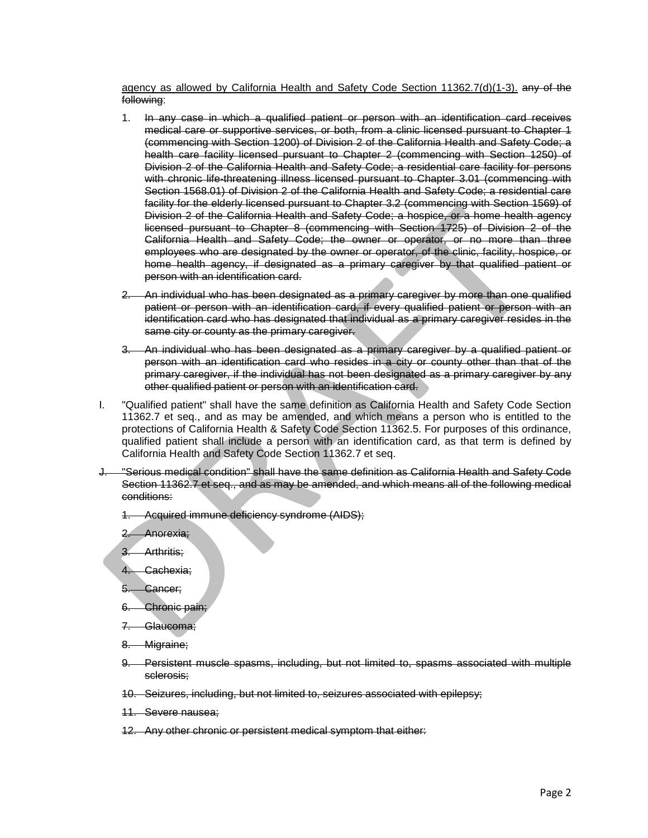agency as allowed by California Health and Safety Code Section 11362.7(d)(1-3). any of the following:

- 1. In any case in which a qualified patient or person with an identification card receives medical care or supportive services, or both, from a clinic licensed pursuant to Chapter 1 (commencing with Section 1200) of Division 2 of the California Health and Safety Code; a health care facility licensed pursuant to Chapter 2 (commencing with Section 1250) of Division 2 of the California Health and Safety Code; a residential care facility for persons with chronic life-threatening illness licensed pursuant to Chapter 3.01 (commencing with Section 1568.01) of Division 2 of the California Health and Safety Code; a residential care facility for the elderly licensed pursuant to Chapter 3.2 (commencing with Section 1569) of Division 2 of the California Health and Safety Code; a hospice, or a home health agency licensed pursuant to Chapter 8 (commencing with Section 1725) of Division 2 of the California Health and Safety Code; the owner or operator, or no more than three employees who are designated by the owner or operator, of the clinic, facility, hospice, or home health agency, if designated as a primary caregiver by that qualified patient or person with an identification card.
- 2. An individual who has been designated as a primary caregiver by more than one qualified patient or person with an identification card, if every qualified patient or person with an identification card who has designated that individual as a primary caregiver resides in the same city or county as the primary caregiver.
- 3. An individual who has been designated as a primary caregiver by a qualified patient or person with an identification card who resides in a city or county other than that of the primary caregiver, if the individual has not been designated as a primary caregiver by any other qualified patient or person with an identification card.
- I. "Qualified patient" shall have the same definition as California Health and Safety Code Section 11362.7 et seq., and as may be amended, and which means a person who is entitled to the protections of California Health & Safety Code Section 11362.5. For purposes of this ordinance, qualified patient shall include a person with an identification card, as that term is defined by California Health and Safety Code Section 11362.7 et seq.
- "Serious medical condition" shall have the same definition as California Health and Safety Code Section 11362.7 et seq., and as may be amended, and which means all of the following medical conditions:
	- 1. Acquired immune deficiency syndrome (AIDS);
	- 2. Anorexia;

3. Arthritis;

- 4. Cachexia;
- 5. Cancer;
- 6. Chronic pain;
- 7. Glaucoma;
- 8. Migraine;
- 9. Persistent muscle spasms, including, but not limited to, spasms associated with multiple sclerosis;
- 10. Seizures, including, but not limited to, seizures associated with epilepsy;
- 11. Severe nausea;
- 12. Any other chronic or persistent medical symptom that either: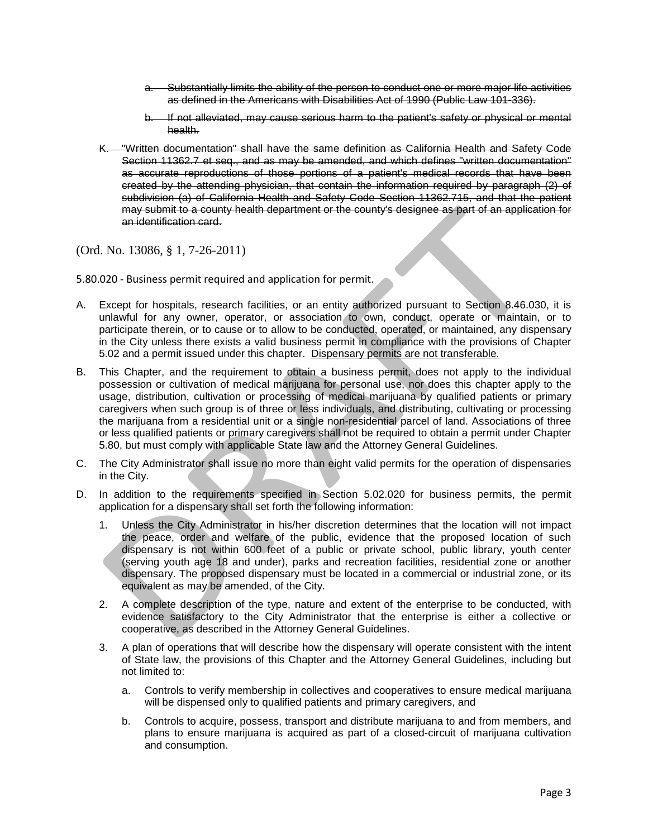- a. Substantially limits the ability of the person to conduct one or more major life activities as defined in the Americans with Disabilities Act of 1990 (Public Law 101-336).
- b. If not alleviated, may cause serious harm to the patient's safety or physical or mental health.
- K. "Written documentation" shall have the same definition as California Health and Safety Code Section 11362.7 et seq., and as may be amended, and which defines "written documentation" as accurate reproductions of those portions of a patient's medical records that have been created by the attending physician, that contain the information required by paragraph (2) of subdivision (a) of California Health and Safety Code Section 11362.715, and that the patient may submit to a county health department or the county's designee as part of an application for an identification card.

(Ord. No. 13086, § 1, 7-26-2011)

5.80.020 - Business permit required and application for permit.

- A. Except for hospitals, research facilities, or an entity authorized pursuant to Section 8.46.030, it is unlawful for any owner, operator, or association to own, conduct, operate or maintain, or to participate therein, or to cause or to allow to be conducted, operated, or maintained, any dispensary in the City unless there exists a valid business permit in compliance with the provisions of Chapter 5.02 and a permit issued under this chapter. Dispensary permits are not transferable.
- B. This Chapter, and the requirement to obtain a business permit, does not apply to the individual possession or cultivation of medical marijuana for personal use, nor does this chapter apply to the usage, distribution, cultivation or processing of medical marijuana by qualified patients or primary caregivers when such group is of three or less individuals, and distributing, cultivating or processing the marijuana from a residential unit or a single non-residential parcel of land. Associations of three or less qualified patients or primary caregivers shall not be required to obtain a permit under Chapter 5.80, but must comply with applicable State law and the Attorney General Guidelines.
- C. The City Administrator shall issue no more than eight valid permits for the operation of dispensaries in the City.
- D. In addition to the requirements specified in Section 5.02.020 for business permits, the permit application for a dispensary shall set forth the following information:
	- 1. Unless the City Administrator in his/her discretion determines that the location will not impact the peace, order and welfare of the public, evidence that the proposed location of such dispensary is not within 600 feet of a public or private school, public library, youth center (serving youth age 18 and under), parks and recreation facilities, residential zone or another dispensary. The proposed dispensary must be located in a commercial or industrial zone, or its equivalent as may be amended, of the City.
	- 2. A complete description of the type, nature and extent of the enterprise to be conducted, with evidence satisfactory to the City Administrator that the enterprise is either a collective or cooperative, as described in the Attorney General Guidelines.
	- 3. A plan of operations that will describe how the dispensary will operate consistent with the intent of State law, the provisions of this Chapter and the Attorney General Guidelines, including but not limited to:
		- a. Controls to verify membership in collectives and cooperatives to ensure medical marijuana will be dispensed only to qualified patients and primary caregivers, and
		- b. Controls to acquire, possess, transport and distribute marijuana to and from members, and plans to ensure marijuana is acquired as part of a closed-circuit of marijuana cultivation and consumption.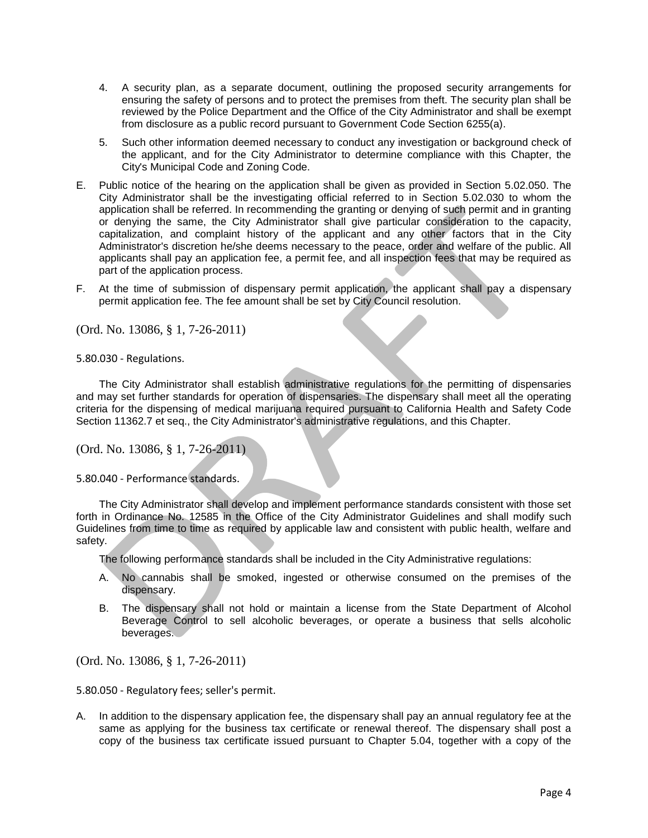- 4. A security plan, as a separate document, outlining the proposed security arrangements for ensuring the safety of persons and to protect the premises from theft. The security plan shall be reviewed by the Police Department and the Office of the City Administrator and shall be exempt from disclosure as a public record pursuant to Government Code Section 6255(a).
- 5. Such other information deemed necessary to conduct any investigation or background check of the applicant, and for the City Administrator to determine compliance with this Chapter, the City's Municipal Code and Zoning Code.
- E. Public notice of the hearing on the application shall be given as provided in Section 5.02.050. The City Administrator shall be the investigating official referred to in Section 5.02.030 to whom the application shall be referred. In recommending the granting or denying of such permit and in granting or denying the same, the City Administrator shall give particular consideration to the capacity, capitalization, and complaint history of the applicant and any other factors that in the City Administrator's discretion he/she deems necessary to the peace, order and welfare of the public. All applicants shall pay an application fee, a permit fee, and all inspection fees that may be required as part of the application process.
- F. At the time of submission of dispensary permit application, the applicant shall pay a dispensary permit application fee. The fee amount shall be set by City Council resolution.

(Ord. No. 13086, § 1, 7-26-2011)

5.80.030 - Regulations.

The City Administrator shall establish administrative regulations for the permitting of dispensaries and may set further standards for operation of dispensaries. The dispensary shall meet all the operating criteria for the dispensing of medical marijuana required pursuant to California Health and Safety Code Section 11362.7 et seq., the City Administrator's administrative regulations, and this Chapter.

(Ord. No. 13086, § 1, 7-26-2011)

5.80.040 - Performance standards.

The City Administrator shall develop and implement performance standards consistent with those set forth in Ordinance No. 12585 in the Office of the City Administrator Guidelines and shall modify such Guidelines from time to time as required by applicable law and consistent with public health, welfare and safety.

The following performance standards shall be included in the City Administrative regulations:

- A. No cannabis shall be smoked, ingested or otherwise consumed on the premises of the dispensary.
- B. The dispensary shall not hold or maintain a license from the State Department of Alcohol Beverage Control to sell alcoholic beverages, or operate a business that sells alcoholic beverages.

(Ord. No. 13086, § 1, 7-26-2011)

5.80.050 - Regulatory fees; seller's permit.

A. In addition to the dispensary application fee, the dispensary shall pay an annual regulatory fee at the same as applying for the business tax certificate or renewal thereof. The dispensary shall post a copy of the business tax certificate issued pursuant to Chapter 5.04, together with a copy of the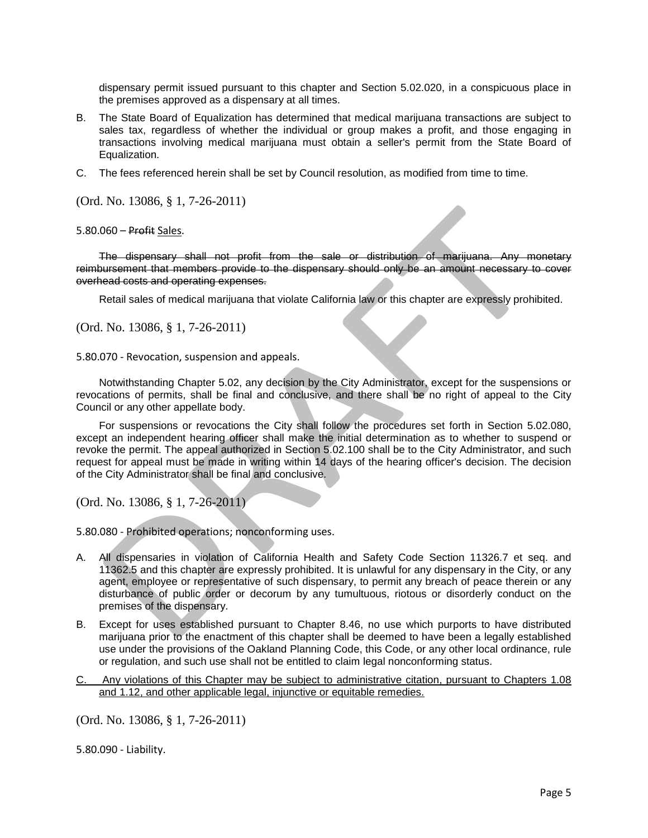dispensary permit issued pursuant to this chapter and Section 5.02.020, in a conspicuous place in the premises approved as a dispensary at all times.

- B. The State Board of Equalization has determined that medical marijuana transactions are subject to sales tax, regardless of whether the individual or group makes a profit, and those engaging in transactions involving medical marijuana must obtain a seller's permit from the State Board of Equalization.
- C. The fees referenced herein shall be set by Council resolution, as modified from time to time.

(Ord. No. 13086, § 1, 7-26-2011)

5.80.060 – Profit Sales.

The dispensary shall not profit from the sale or distribution of marijuana. Any monetary reimbursement that members provide to the dispensary should only be an amount necessary to cover overhead costs and operating expenses.

Retail sales of medical marijuana that violate California law or this chapter are expressly prohibited.

(Ord. No. 13086, § 1, 7-26-2011)

5.80.070 - Revocation, suspension and appeals.

Notwithstanding Chapter 5.02, any decision by the City Administrator, except for the suspensions or revocations of permits, shall be final and conclusive, and there shall be no right of appeal to the City Council or any other appellate body.

For suspensions or revocations the City shall follow the procedures set forth in Section 5.02.080, except an independent hearing officer shall make the initial determination as to whether to suspend or revoke the permit. The appeal authorized in Section 5.02.100 shall be to the City Administrator, and such request for appeal must be made in writing within 14 days of the hearing officer's decision. The decision of the City Administrator shall be final and conclusive.

(Ord. No. 13086, § 1, 7-26-2011)

5.80.080 - Prohibited operations; nonconforming uses.

- A. All dispensaries in violation of California Health and Safety Code Section 11326.7 et seq. and 11362.5 and this chapter are expressly prohibited. It is unlawful for any dispensary in the City, or any agent, employee or representative of such dispensary, to permit any breach of peace therein or any disturbance of public order or decorum by any tumultuous, riotous or disorderly conduct on the premises of the dispensary.
- B. Except for uses established pursuant to Chapter 8.46, no use which purports to have distributed marijuana prior to the enactment of this chapter shall be deemed to have been a legally established use under the provisions of the Oakland Planning Code, this Code, or any other local ordinance, rule or regulation, and such use shall not be entitled to claim legal nonconforming status.
- C. Any violations of this Chapter may be subject to administrative citation, pursuant to Chapters 1.08 and 1.12, and other applicable legal, injunctive or equitable remedies.

(Ord. No. 13086, § 1, 7-26-2011)

5.80.090 - Liability.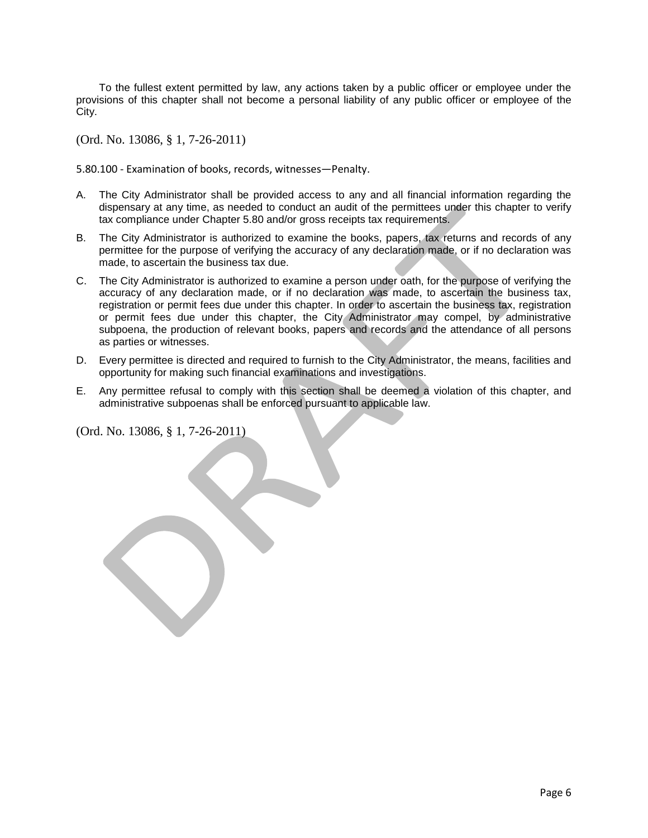To the fullest extent permitted by law, any actions taken by a public officer or employee under the provisions of this chapter shall not become a personal liability of any public officer or employee of the City.

(Ord. No. 13086, § 1, 7-26-2011)

5.80.100 - Examination of books, records, witnesses—Penalty.

- A. The City Administrator shall be provided access to any and all financial information regarding the dispensary at any time, as needed to conduct an audit of the permittees under this chapter to verify tax compliance under Chapter 5.80 and/or gross receipts tax requirements.
- B. The City Administrator is authorized to examine the books, papers, tax returns and records of any permittee for the purpose of verifying the accuracy of any declaration made, or if no declaration was made, to ascertain the business tax due.
- C. The City Administrator is authorized to examine a person under oath, for the purpose of verifying the accuracy of any declaration made, or if no declaration was made, to ascertain the business tax, registration or permit fees due under this chapter. In order to ascertain the business tax, registration or permit fees due under this chapter, the City Administrator may compel, by administrative subpoena, the production of relevant books, papers and records and the attendance of all persons as parties or witnesses.
- D. Every permittee is directed and required to furnish to the City Administrator, the means, facilities and opportunity for making such financial examinations and investigations.
- E. Any permittee refusal to comply with this section shall be deemed a violation of this chapter, and administrative subpoenas shall be enforced pursuant to applicable law.

(Ord. No. 13086, § 1, 7-26-2011)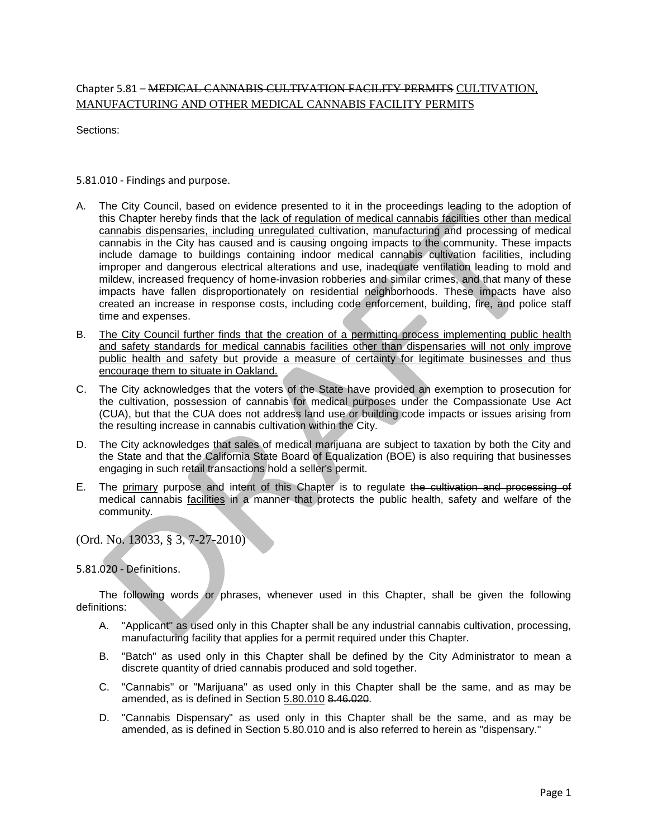### Chapter 5.81 – MEDICAL CANNABIS CULTIVATION FACILITY PERMITS CULTIVATION, MANUFACTURING AND OTHER MEDICAL CANNABIS FACILITY PERMITS

Sections:

5.81.010 - Findings and purpose.

- A. The City Council, based on evidence presented to it in the proceedings leading to the adoption of this Chapter hereby finds that the lack of regulation of medical cannabis facilities other than medical cannabis dispensaries, including unregulated cultivation, manufacturing and processing of medical cannabis in the City has caused and is causing ongoing impacts to the community. These impacts include damage to buildings containing indoor medical cannabis cultivation facilities, including improper and dangerous electrical alterations and use, inadequate ventilation leading to mold and mildew, increased frequency of home-invasion robberies and similar crimes, and that many of these impacts have fallen disproportionately on residential neighborhoods. These impacts have also created an increase in response costs, including code enforcement, building, fire, and police staff time and expenses.
- B. The City Council further finds that the creation of a permitting process implementing public health and safety standards for medical cannabis facilities other than dispensaries will not only improve public health and safety but provide a measure of certainty for legitimate businesses and thus encourage them to situate in Oakland.
- C. The City acknowledges that the voters of the State have provided an exemption to prosecution for the cultivation, possession of cannabis for medical purposes under the Compassionate Use Act (CUA), but that the CUA does not address land use or building code impacts or issues arising from the resulting increase in cannabis cultivation within the City.
- D. The City acknowledges that sales of medical marijuana are subject to taxation by both the City and the State and that the California State Board of Equalization (BOE) is also requiring that businesses engaging in such retail transactions hold a seller's permit.
- E. The primary purpose and intent of this Chapter is to regulate the cultivation and processing of medical cannabis facilities in a manner that protects the public health, safety and welfare of the community.

(Ord. No. 13033, § 3, 7-27-2010)

5.81.020 - Definitions.

The following words or phrases, whenever used in this Chapter, shall be given the following definitions:

- A. "Applicant" as used only in this Chapter shall be any industrial cannabis cultivation, processing, manufacturing facility that applies for a permit required under this Chapter.
- B. "Batch" as used only in this Chapter shall be defined by the City Administrator to mean a discrete quantity of dried cannabis produced and sold together.
- C. "Cannabis" or "Marijuana" as used only in this Chapter shall be the same, and as may be amended, as is defined in Section 5.80.010 8.46.020.
- D. "Cannabis Dispensary" as used only in this Chapter shall be the same, and as may be amended, as is defined in Section 5.80.010 and is also referred to herein as "dispensary."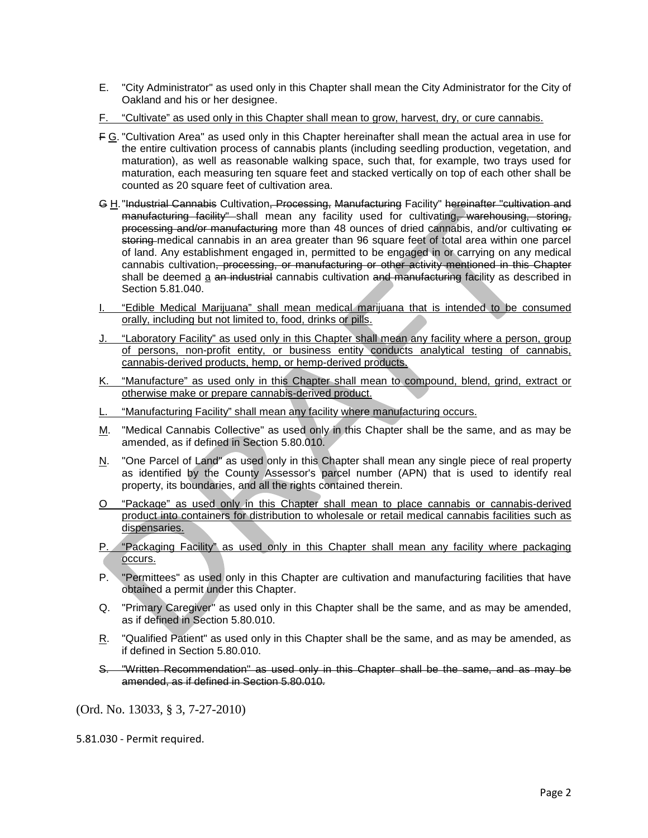- E. "City Administrator" as used only in this Chapter shall mean the City Administrator for the City of Oakland and his or her designee.
- F. "Cultivate" as used only in this Chapter shall mean to grow, harvest, dry, or cure cannabis.
- F G. "Cultivation Area" as used only in this Chapter hereinafter shall mean the actual area in use for the entire cultivation process of cannabis plants (including seedling production, vegetation, and maturation), as well as reasonable walking space, such that, for example, two trays used for maturation, each measuring ten square feet and stacked vertically on top of each other shall be counted as 20 square feet of cultivation area.
- G H."Industrial Cannabis Cultivation, Processing, Manufacturing Facility" hereinafter "cultivation and manufacturing facility" shall mean any facility used for cultivating, warehousing, storing, processing and/or manufacturing more than 48 ounces of dried cannabis, and/or cultivating or storing medical cannabis in an area greater than 96 square feet of total area within one parcel of land. Any establishment engaged in, permitted to be engaged in or carrying on any medical cannabis cultivation, processing, or manufacturing or other activity mentioned in this Chapter shall be deemed a an industrial cannabis cultivation and manufacturing facility as described in Section 5.81.040.
- I. "Edible Medical Marijuana" shall mean medical marijuana that is intended to be consumed orally, including but not limited to, food, drinks or pills.
- J. "Laboratory Facility" as used only in this Chapter shall mean any facility where a person, group of persons, non-profit entity, or business entity conducts analytical testing of cannabis, cannabis-derived products, hemp, or hemp-derived products.
- K. "Manufacture" as used only in this Chapter shall mean to compound, blend, grind, extract or otherwise make or prepare cannabis-derived product.
- "Manufacturing Facility" shall mean any facility where manufacturing occurs.
- M. "Medical Cannabis Collective" as used only in this Chapter shall be the same, and as may be amended, as if defined in Section 5.80.010.
- N. "One Parcel of Land" as used only in this Chapter shall mean any single piece of real property as identified by the County Assessor's parcel number (APN) that is used to identify real property, its boundaries, and all the rights contained therein.
- O "Package" as used only in this Chapter shall mean to place cannabis or cannabis-derived product into containers for distribution to wholesale or retail medical cannabis facilities such as dispensaries.
- P. "Packaging Facility" as used only in this Chapter shall mean any facility where packaging occurs.
- P. "Permittees" as used only in this Chapter are cultivation and manufacturing facilities that have obtained a permit under this Chapter.
- Q. "Primary Caregiver" as used only in this Chapter shall be the same, and as may be amended, as if defined in Section 5.80.010.
- R. "Qualified Patient" as used only in this Chapter shall be the same, and as may be amended, as if defined in Section 5.80.010.
- S. "Written Recommendation" as used only in this Chapter shall be the same, and as may be amended, as if defined in Section 5.80.010.

5.81.030 - Permit required.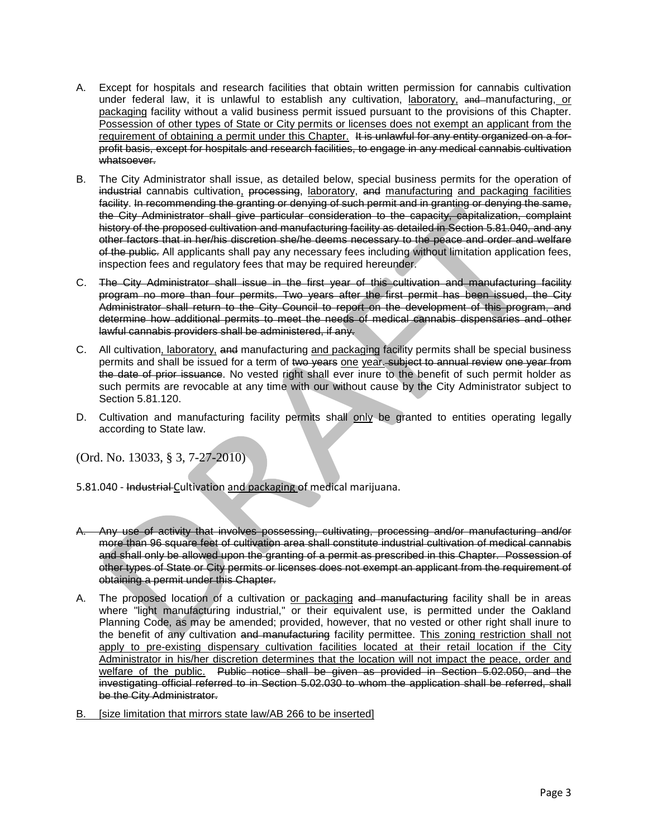- A. Except for hospitals and research facilities that obtain written permission for cannabis cultivation under federal law, it is unlawful to establish any cultivation, laboratory, and manufacturing, or packaging facility without a valid business permit issued pursuant to the provisions of this Chapter. Possession of other types of State or City permits or licenses does not exempt an applicant from the requirement of obtaining a permit under this Chapter. It is unlawful for any entity organized on a forprofit basis, except for hospitals and research facilities, to engage in any medical cannabis cultivation whatsoever.
- B. The City Administrator shall issue, as detailed below, special business permits for the operation of industrial cannabis cultivation, processing, laboratory, and manufacturing and packaging facilities facility. In recommending the granting or denying of such permit and in granting or denying the same, the City Administrator shall give particular consideration to the capacity, capitalization, complaint history of the proposed cultivation and manufacturing facility as detailed in Section 5.81.040, and any other factors that in her/his discretion she/he deems necessary to the peace and order and welfare of the public. All applicants shall pay any necessary fees including without limitation application fees, inspection fees and regulatory fees that may be required hereunder.
- C. The City Administrator shall issue in the first year of this cultivation and manufacturing facility program no more than four permits. Two years after the first permit has been issued, the City Administrator shall return to the City Council to report on the development of this program, and determine how additional permits to meet the needs of medical cannabis dispensaries and other lawful cannabis providers shall be administered, if any.
- C. All cultivation, laboratory, and manufacturing and packaging facility permits shall be special business permits and shall be issued for a term of two years one year. subject to annual review one year from the date of prior issuance. No vested right shall ever inure to the benefit of such permit holder as such permits are revocable at any time with our without cause by the City Administrator subject to Section 5.81.120.
- D. Cultivation and manufacturing facility permits shall only be granted to entities operating legally according to State law.

- 5.81.040 Industrial Cultivation and packaging of medical marijuana.
- A. Any use of activity that involves possessing, cultivating, processing and/or manufacturing and/or more than 96 square feet of cultivation area shall constitute industrial cultivation of medical cannabis and shall only be allowed upon the granting of a permit as prescribed in this Chapter. Possession of other types of State or City permits or licenses does not exempt an applicant from the requirement of obtaining a permit under this Chapter.
- A. The proposed location of a cultivation or packaging and manufacturing facility shall be in areas where "light manufacturing industrial," or their equivalent use, is permitted under the Oakland Planning Code, as may be amended; provided, however, that no vested or other right shall inure to the benefit of any cultivation and manufacturing facility permittee. This zoning restriction shall not apply to pre-existing dispensary cultivation facilities located at their retail location if the City Administrator in his/her discretion determines that the location will not impact the peace, order and welfare of the public. Public notice shall be given as provided in Section 5.02.050, and the investigating official referred to in Section 5.02.030 to whom the application shall be referred, shall be the City Administrator.
- B. [size limitation that mirrors state law/AB 266 to be inserted]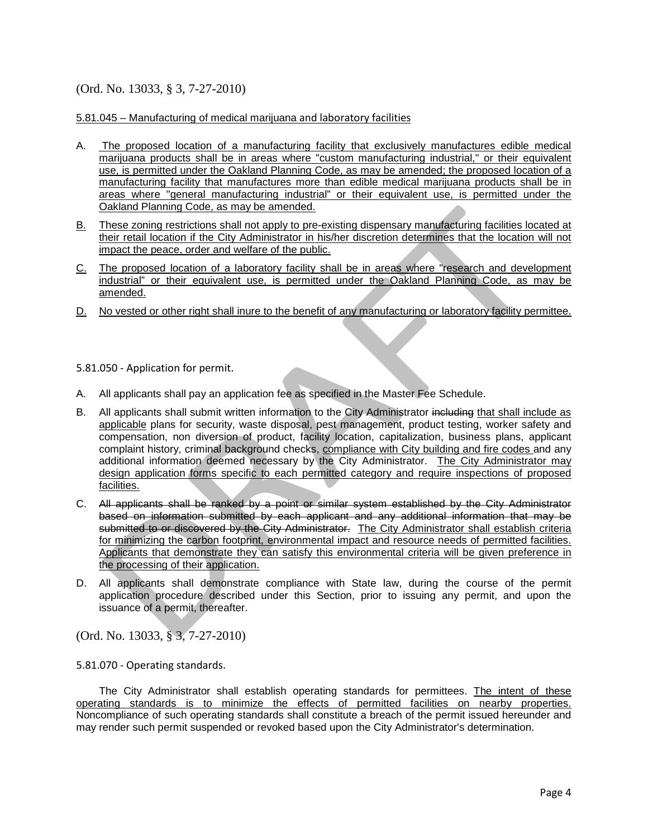#### 5.81.045 – Manufacturing of medical marijuana and laboratory facilities

- A. The proposed location of a manufacturing facility that exclusively manufactures edible medical marijuana products shall be in areas where "custom manufacturing industrial," or their equivalent use, is permitted under the Oakland Planning Code, as may be amended; the proposed location of a manufacturing facility that manufactures more than edible medical marijuana products shall be in areas where "general manufacturing industrial" or their equivalent use, is permitted under the Oakland Planning Code, as may be amended.
- B. These zoning restrictions shall not apply to pre-existing dispensary manufacturing facilities located at their retail location if the City Administrator in his/her discretion determines that the location will not impact the peace, order and welfare of the public.
- C. The proposed location of a laboratory facility shall be in areas where "research and development industrial" or their equivalent use, is permitted under the Oakland Planning Code, as may be amended.
- D. No vested or other right shall inure to the benefit of any manufacturing or laboratory facility permittee.

5.81.050 - Application for permit.

- A. All applicants shall pay an application fee as specified in the Master Fee Schedule.
- B. All applicants shall submit written information to the City Administrator including that shall include as applicable plans for security, waste disposal, pest management, product testing, worker safety and compensation, non diversion of product, facility location, capitalization, business plans, applicant complaint history, criminal background checks, compliance with City building and fire codes and any additional information deemed necessary by the City Administrator. The City Administrator may design application forms specific to each permitted category and require inspections of proposed facilities.
- C. All applicants shall be ranked by a point or similar system established by the City Administrator based on information submitted by each applicant and any additional information that may be submitted to or discovered by the City Administrator. The City Administrator shall establish criteria for minimizing the carbon footprint, environmental impact and resource needs of permitted facilities. Applicants that demonstrate they can satisfy this environmental criteria will be given preference in the processing of their application.
- D. All applicants shall demonstrate compliance with State law, during the course of the permit application procedure described under this Section, prior to issuing any permit, and upon the issuance of a permit, thereafter.

(Ord. No. 13033, § 3, 7-27-2010)

5.81.070 - Operating standards.

The City Administrator shall establish operating standards for permittees. The intent of these operating standards is to minimize the effects of permitted facilities on nearby properties. Noncompliance of such operating standards shall constitute a breach of the permit issued hereunder and may render such permit suspended or revoked based upon the City Administrator's determination.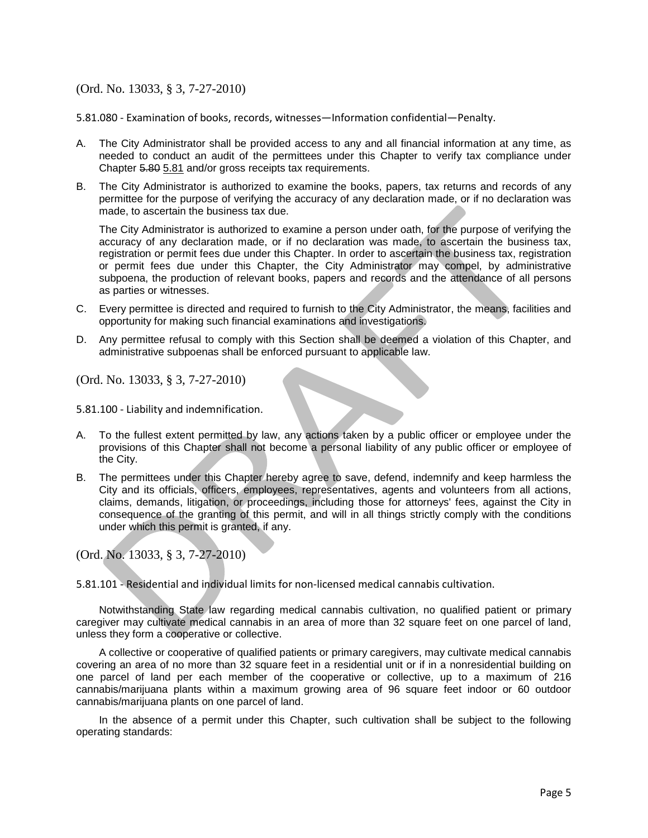5.81.080 - Examination of books, records, witnesses—Information confidential—Penalty.

- A. The City Administrator shall be provided access to any and all financial information at any time, as needed to conduct an audit of the permittees under this Chapter to verify tax compliance under Chapter 5.80 5.81 and/or gross receipts tax requirements.
- B. The City Administrator is authorized to examine the books, papers, tax returns and records of any permittee for the purpose of verifying the accuracy of any declaration made, or if no declaration was made, to ascertain the business tax due.

The City Administrator is authorized to examine a person under oath, for the purpose of verifying the accuracy of any declaration made, or if no declaration was made, to ascertain the business tax, registration or permit fees due under this Chapter. In order to ascertain the business tax, registration or permit fees due under this Chapter, the City Administrator may compel, by administrative subpoena, the production of relevant books, papers and records and the attendance of all persons as parties or witnesses.

- C. Every permittee is directed and required to furnish to the City Administrator, the means, facilities and opportunity for making such financial examinations and investigations.
- D. Any permittee refusal to comply with this Section shall be deemed a violation of this Chapter, and administrative subpoenas shall be enforced pursuant to applicable law.

(Ord. No. 13033, § 3, 7-27-2010)

5.81.100 - Liability and indemnification.

- A. To the fullest extent permitted by law, any actions taken by a public officer or employee under the provisions of this Chapter shall not become a personal liability of any public officer or employee of the City.
- B. The permittees under this Chapter hereby agree to save, defend, indemnify and keep harmless the City and its officials, officers, employees, representatives, agents and volunteers from all actions, claims, demands, litigation, or proceedings, including those for attorneys' fees, against the City in consequence of the granting of this permit, and will in all things strictly comply with the conditions under which this permit is granted, if any.

(Ord. No. 13033, § 3, 7-27-2010)

5.81.101 - Residential and individual limits for non-licensed medical cannabis cultivation.

Notwithstanding State law regarding medical cannabis cultivation, no qualified patient or primary caregiver may cultivate medical cannabis in an area of more than 32 square feet on one parcel of land, unless they form a cooperative or collective.

A collective or cooperative of qualified patients or primary caregivers, may cultivate medical cannabis covering an area of no more than 32 square feet in a residential unit or if in a nonresidential building on one parcel of land per each member of the cooperative or collective, up to a maximum of 216 cannabis/marijuana plants within a maximum growing area of 96 square feet indoor or 60 outdoor cannabis/marijuana plants on one parcel of land.

In the absence of a permit under this Chapter, such cultivation shall be subject to the following operating standards: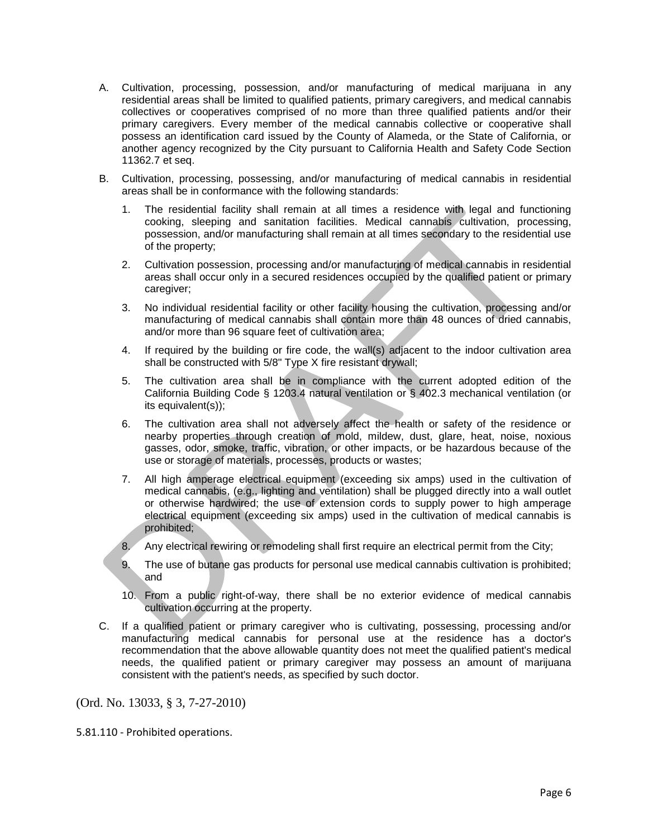- A. Cultivation, processing, possession, and/or manufacturing of medical marijuana in any residential areas shall be limited to qualified patients, primary caregivers, and medical cannabis collectives or cooperatives comprised of no more than three qualified patients and/or their primary caregivers. Every member of the medical cannabis collective or cooperative shall possess an identification card issued by the County of Alameda, or the State of California, or another agency recognized by the City pursuant to California Health and Safety Code Section 11362.7 et seq.
- B. Cultivation, processing, possessing, and/or manufacturing of medical cannabis in residential areas shall be in conformance with the following standards:
	- 1. The residential facility shall remain at all times a residence with legal and functioning cooking, sleeping and sanitation facilities. Medical cannabis cultivation, processing, possession, and/or manufacturing shall remain at all times secondary to the residential use of the property;
	- 2. Cultivation possession, processing and/or manufacturing of medical cannabis in residential areas shall occur only in a secured residences occupied by the qualified patient or primary caregiver;
	- 3. No individual residential facility or other facility housing the cultivation, processing and/or manufacturing of medical cannabis shall contain more than 48 ounces of dried cannabis, and/or more than 96 square feet of cultivation area;
	- 4. If required by the building or fire code, the wall(s) adjacent to the indoor cultivation area shall be constructed with 5/8" Type X fire resistant drywall;
	- 5. The cultivation area shall be in compliance with the current adopted edition of the California Building Code § 1203.4 natural ventilation or § 402.3 mechanical ventilation (or its equivalent(s));
	- 6. The cultivation area shall not adversely affect the health or safety of the residence or nearby properties through creation of mold, mildew, dust, glare, heat, noise, noxious gasses, odor, smoke, traffic, vibration, or other impacts, or be hazardous because of the use or storage of materials, processes, products or wastes;
	- 7. All high amperage electrical equipment (exceeding six amps) used in the cultivation of medical cannabis, (e.g., lighting and ventilation) shall be plugged directly into a wall outlet or otherwise hardwired; the use of extension cords to supply power to high amperage electrical equipment (exceeding six amps) used in the cultivation of medical cannabis is prohibited;
	- 8. Any electrical rewiring or remodeling shall first require an electrical permit from the City;
	- 9. The use of butane gas products for personal use medical cannabis cultivation is prohibited; and
	- 10. From a public right-of-way, there shall be no exterior evidence of medical cannabis cultivation occurring at the property.
- C. If a qualified patient or primary caregiver who is cultivating, possessing, processing and/or manufacturing medical cannabis for personal use at the residence has a doctor's recommendation that the above allowable quantity does not meet the qualified patient's medical needs, the qualified patient or primary caregiver may possess an amount of marijuana consistent with the patient's needs, as specified by such doctor.

5.81.110 - Prohibited operations.